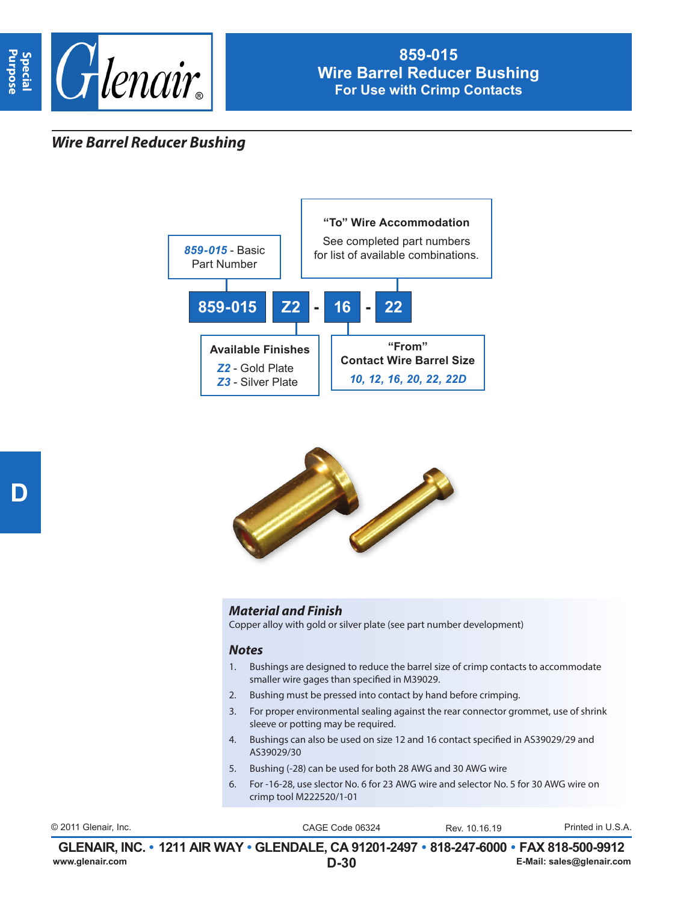

## *Wire Barrel Reducer Bushing*





## *Material and Finish*

Copper alloy with gold or silver plate (see part number development)

## *Notes*

- 1. Bushings are designed to reduce the barrel size of crimp contacts to accommodate smaller wire gages than specified in M39029.
- 2. Bushing must be pressed into contact by hand before crimping.
- 3. For proper environmental sealing against the rear connector grommet, use of shrink sleeve or potting may be required.
- 4. Bushings can also be used on size 12 and 16 contact specified in AS39029/29 and AS39029/30
- 5. Bushing (-28) can be used for both 28 AWG and 30 AWG wire
- 6. For -16-28, use slector No. 6 for 23 AWG wire and selector No. 5 for 30 AWG wire on crimp tool M222520/1-01

| © 2011 Glenair. Inc. | CAGE Code 06324                                                                          | Rev 10 16 19 | Printed in U.S.A.         |
|----------------------|------------------------------------------------------------------------------------------|--------------|---------------------------|
|                      | GLENAIR, INC. • 1211 AIR WAY • GLENDALE, CA 91201-2497 • 818-247-6000 • FAX 818-500-9912 |              |                           |
| www.glenair.com      | $D-30$                                                                                   |              | E-Mail: sales@glenair.com |